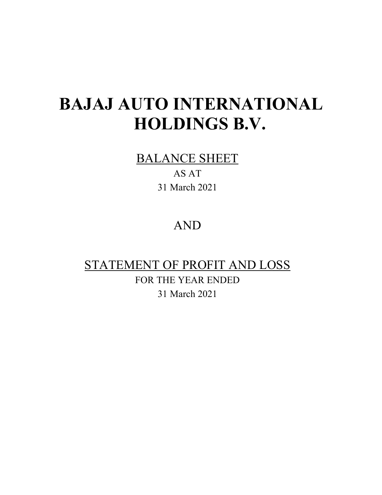BALANCE SHEET

AS AT 31 March 2021

## AND

## STATEMENT OF PROFIT AND LOSS FOR THE YEAR ENDED 31 March 2021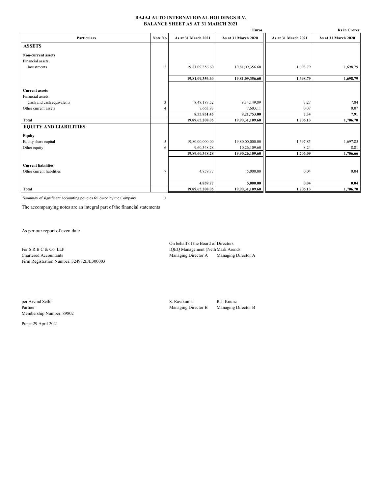#### **BAJAJ AUTO INTERNATIONAL HOLDINGS B.V. BALANCE SHEET AS AT 31 MARCH 2021**

|                               |                |                     | Euros               |                     | <b>Rs</b> in Crores |
|-------------------------------|----------------|---------------------|---------------------|---------------------|---------------------|
| <b>Particulars</b>            | Note No.       | As at 31 March 2021 | As at 31 March 2020 | As at 31 March 2021 | As at 31 March 2020 |
| <b>ASSETS</b>                 |                |                     |                     |                     |                     |
| <b>Non-current assets</b>     |                |                     |                     |                     |                     |
| Financial assets              |                |                     |                     |                     |                     |
| Investments                   | $\overline{2}$ | 19,81,09,356.60     | 19,81,09,356.60     | 1,698.79            | 1,698.79            |
|                               |                | 19,81,09,356.60     | 19,81,09,356.60     | 1,698.79            | 1,698.79            |
|                               |                |                     |                     |                     |                     |
| <b>Current assets</b>         |                |                     |                     |                     |                     |
| Financial assets              |                |                     |                     |                     |                     |
| Cash and cash equivalents     | 3              | 8,48,187.52         | 9, 14, 149.89       | 7.27                | 7.84                |
| Other current assets          | $\Delta$       | 7,663.93            | 7,603.11            | 0.07                | 0.07                |
|                               |                | 8,55,851.45         | 9,21,753.00         | 7.34                | 7.91                |
| Total                         |                | 19,89,65,208.05     | 19,90,31,109.60     | 1,706.13            | 1,706.70            |
| <b>EQUITY AND LIABILITIES</b> |                |                     |                     |                     |                     |
| <b>Equity</b>                 |                |                     |                     |                     |                     |
| Equity share capital          | 5              | 19,80,00,000.00     | 19,80,00,000.00     | 1,697.85            | 1,697.85            |
| Other equity                  | 6              | 9,60,348.28         | 10,26,109.60        | 8.24                | 8.81                |
|                               |                | 19,89,60,348.28     | 19,90,26,109.60     | 1,706.09            | 1,706.66            |
| <b>Current liabilities</b>    |                |                     |                     |                     |                     |
| Other current liabilities     | 7              | 4,859.77            | 5,000.00            | 0.04                | 0.04                |
|                               |                | 4,859.77            | 5,000.00            | 0.04                | 0.04                |
| <b>Total</b>                  |                | 19,89,65,208.05     | 19,90,31,109.60     | 1,706.13            | 1,706.70            |
|                               |                |                     |                     |                     |                     |

Summary of significant accounting policies followed by the Company 1

The accompanying notes are an integral part of the financial statements

As per our report of even date

For S R B C & Co LLP IQEQ Management (Neth Mark Arends<br>
Chartered Accountants Managing Director A Managing Director A Firm Registration Number: 324982E/E300003

On behalf of the Board of Directors Managing Director A Managing Director A

Membership Number: 89802

Pune: 29 April 2021

per Arvind Sethi S. Ravikumar R.J. Knunz<br>Partner R.J. Knunz Managing Director B Managing Director B Managing Director B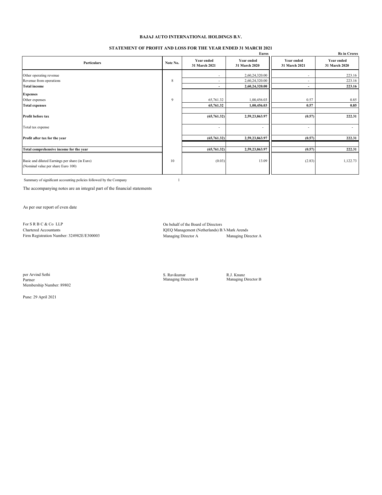#### **STATEMENT OF PROFIT AND LOSS FOR THE YEAR ENDED 31 MARCH 2021**

|                                                                                      |          |                                    | Euros                              |                                    | <b>Rs in Crores</b>                |
|--------------------------------------------------------------------------------------|----------|------------------------------------|------------------------------------|------------------------------------|------------------------------------|
| <b>Particulars</b>                                                                   | Note No. | <b>Year ended</b><br>31 March 2021 | <b>Year ended</b><br>31 March 2020 | <b>Year ended</b><br>31 March 2021 | <b>Year ended</b><br>31 March 2020 |
| Other operating revenue                                                              |          | ٠                                  | 2,60,24,320.00                     | $\overline{\phantom{a}}$           | 223.16                             |
| Revenue from operations                                                              | 8        |                                    | 2,60,24,320.00                     | $\overline{\phantom{0}}$           | 223.16                             |
| <b>Total income</b>                                                                  |          | ۰                                  | 2,60,24,320.00                     | $\overline{\phantom{a}}$           | 223.16                             |
| <b>Expenses</b>                                                                      |          |                                    |                                    |                                    |                                    |
| Other expenses                                                                       | 9        | 65,761.32                          | 1,00,456.03                        | 0.57                               | 0.85                               |
| <b>Total expenses</b>                                                                |          | 65,761.32                          | 1,00,456.03                        | 0.57                               | 0.85                               |
| Profit before tax                                                                    |          | (65,761.32)                        | 2,59,23,863.97                     | (0.57)                             | 222.31                             |
| Total tax expense                                                                    |          | ٠                                  | $\overline{\phantom{a}}$           | $\overline{\phantom{a}}$           | $\overline{\phantom{a}}$           |
| Profit after tax for the year                                                        |          | (65,761.32)                        | 2,59,23,863.97                     | (0.57)                             | 222.31                             |
|                                                                                      |          |                                    |                                    |                                    |                                    |
| Total comprehensive income for the year                                              |          | (65,761.32)                        | 2,59,23,863.97                     | (0.57)                             | 222.31                             |
| Basic and diluted Earnings per share (in Euro)<br>(Nominal value per share Euro 100) | 10       | (0.03)                             | 13.09                              | (2.83)                             | 1,122.73                           |

Summary of significant accounting policies followed by the Company 1

The accompanying notes are an integral part of the financial statements

As per our report of even date

For S R B C & Co LLP On behalf of the Board of Directors<br>
Chartered Accountants<br>
IOEO Management (Netherlands) B Firm Registration Number: 324982E/E300003

IQEQ Management (Netherlands) B.V Mark Arends<br>Managing Director A<br/><br>Managing Director A

per Arvind Sethi S. Ravikumar R.J. Knunz Partner Managing Director B Managing Director B Membership Number: 89802

Pune: 29 April 2021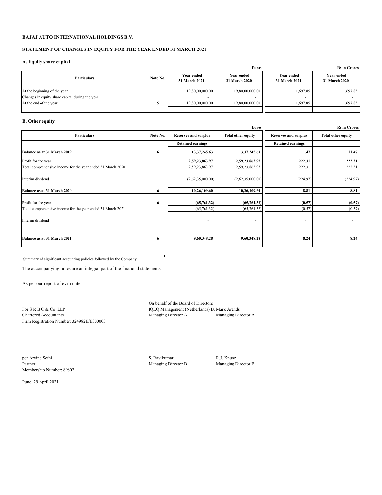#### **STATEMENT OF CHANGES IN EQUITY FOR THE YEAR ENDED 31 MARCH 2021**

#### **A. Equity share capital**

|                                                                                 |          |                             | <b>Euros</b>                       |                             |                                    |  |  |  |  |
|---------------------------------------------------------------------------------|----------|-----------------------------|------------------------------------|-----------------------------|------------------------------------|--|--|--|--|
| <b>Particulars</b>                                                              | Note No. | Year ended<br>31 March 2021 | <b>Year ended</b><br>31 March 2020 | Year ended<br>31 March 2021 | <b>Year ended</b><br>31 March 2020 |  |  |  |  |
| At the beginning of the year<br>Changes in equity share capital during the year |          | 19,80,00,000.00             | 19,80,00,000.00                    | 1,697.85                    | 1,697.85                           |  |  |  |  |
| At the end of the year                                                          |          | 19,80,00,000,00             | 19,80,00,000,00                    | 1.697.85                    | 1.697.85                           |  |  |  |  |
|                                                                                 |          |                             |                                    |                             |                                    |  |  |  |  |

## **B. Other equity**

|                                                                                    |          |                             | Euros                      |                             | <b>Rs in Crores</b>       |
|------------------------------------------------------------------------------------|----------|-----------------------------|----------------------------|-----------------------------|---------------------------|
| Particulars                                                                        | Note No. | <b>Reserves and surplus</b> | <b>Total other equity</b>  | <b>Reserves and surplus</b> | <b>Total other equity</b> |
|                                                                                    |          | <b>Retained earnings</b>    |                            | <b>Retained earnings</b>    |                           |
| Balance as at 31 March 2019                                                        | 6        | 13,37,245.63                | 13,37,245.63               | 11.47                       | 11.47                     |
| Profit for the year                                                                |          | 2,59,23,863.97              | 2,59,23,863.97             | 222.31                      | 222.31                    |
| Total comprehensive income for the year ended 31 March 2020                        |          | 2,59,23,863.97              | 2,59,23,863.97             | 222.31                      | 222.31                    |
| Interim dividend                                                                   |          | (2,62,35,000.00)            | (2,62,35,000.00)           | (224.97)                    | (224.97)                  |
| Balance as at 31 March 2020                                                        | 6        | 10,26,109.60                | 10,26,109.60               | 8.81                        | 8.81                      |
| Profit for the year<br>Total comprehensive income for the year ended 31 March 2021 | 6        | (65,761.32)<br>(65,761.32)  | (65,761.32)<br>(65,761.32) | (0.57)<br>(0.57)            | (0.57)<br>(0.57)          |
| Interim dividend                                                                   |          |                             | ۰                          |                             |                           |
| Balance as at 31 March 2021                                                        | 6        | 9,60,348.28                 | 9,60,348.28                | 8.24                        | 8.24                      |

Summary of significant accounting policies followed by the Company **<sup>1</sup>**

The accompanying notes are an integral part of the financial statements

As per our report of even date

Firm Registration Number: 324982E/E300003

On behalf of the Board of Directors For S R B C & Co LLP IQEQ Management (Netherlands) B. Mark Arends<br>Chartered Accountants Managing Director A Managing Director A Managing Director A

per Arvind Sethi S. Ravikumar R.J. Knunz Partner R.J. Knunz Partner R.J. Knunz Partner R.J. Knunz Partner Managing I Membership Number: 89802

Managing Director B Managing Director B

Pune: 29 April 2021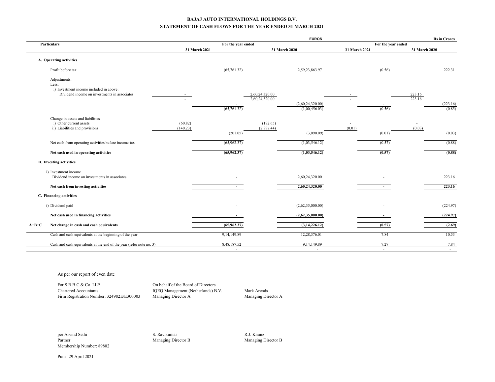#### **BAJAJ AUTO INTERNATIONAL HOLDINGS B.V. STATEMENT OF CASH FLOWS FOR THE YEAR ENDED 31 MARCH 2021**

|                                                                      |               |                          |                                  | <b>EUROS</b>                                         |        |                |                          | <b>Rs</b> in Crores |
|----------------------------------------------------------------------|---------------|--------------------------|----------------------------------|------------------------------------------------------|--------|----------------|--------------------------|---------------------|
| Particulars                                                          | 31 March 2021 | For the year ended       |                                  | For the year ended<br>31 March 2021<br>31 March 2020 |        |                | 31 March 2020            |                     |
| A. Operating activities                                              |               |                          |                                  |                                                      |        |                |                          |                     |
| Profit before tax                                                    |               | (65,761.32)              |                                  | 2,59,23,863.97                                       |        | (0.56)         |                          | 222.31              |
| Adjustments:<br>Less:<br>i) Investment income included in above:     |               |                          |                                  |                                                      |        |                |                          |                     |
| Dividend income on investments in associates                         |               | (65,761.32)              | 2,60,24,320.00<br>2,60,24,320.00 | (2,60,24,320.00)<br>(1,00,456.03)                    |        | (0.56)         | 223.16<br>223.16         | (223.16)<br>(0.85)  |
| Change in assets and liabilities<br>i) Other current assets          | (60.82)       |                          | (192.65)                         |                                                      | ٠      |                | $\overline{\phantom{a}}$ |                     |
| ii) Liabilities and provisions                                       | (140.23)      | (201.05)                 | (2,897.44)                       | (3,090.09)                                           | (0.01) | (0.01)         | (0.03)                   | (0.03)              |
| Net cash from operating activities before income-tax                 |               | (65,962.37)              |                                  | (1,03,546.12)                                        |        | (0.57)         |                          | (0.88)              |
| Net cash used in operating activities                                |               | (65,962.37)              |                                  | (1,03,546.12)                                        |        | (0.57)         |                          | (0.88)              |
| <b>B.</b> Investing activities                                       |               |                          |                                  |                                                      |        |                |                          |                     |
| i) Investment income<br>Dividend income on investments in associates |               |                          |                                  | 2,60,24,320.00                                       |        |                |                          | 223.16              |
| Net cash from investing activities                                   |               | $\sim$                   |                                  | 2,60,24,320.00                                       |        | $\sim$         |                          | 223.16              |
| C. Financing activities                                              |               |                          |                                  |                                                      |        |                |                          |                     |
| i) Dividend paid                                                     |               |                          |                                  | (2,62,35,000.00)                                     |        |                |                          | (224.97)            |
| Net cash used in financing activities                                |               | $\overline{\phantom{a}}$ |                                  | (2,62,35,000.00)                                     |        | $\sim$         |                          | (224.97)            |
| Net change in cash and cash equivalents<br>$A+B+C$                   |               | (65,962.37)              |                                  | (3,14,226.12)                                        |        | (0.57)         |                          | (2.69)              |
| Cash and cash equivalents at the beginning of the year               |               | 9,14,149.89              |                                  | 12,28,376.01                                         |        | 7.84           |                          | 10.53               |
| Cash and cash equivalents at the end of the year (refer note no. 3)  |               | 8,48,187.52<br>$\sim$    |                                  | 9,14,149.89<br>$\sim$                                |        | 7.27<br>$\sim$ |                          | 7.84<br>$\sim$      |

As per our report of even date

For S R B C & Co LLP On behalf of the Board of Directors Chartered Accountants IQEQ Management (Netherlands) B.V. Mark Arends Firm Registration Number: 324982E/E300003 Managing Director A Managing Director A

per Arvind Sethi S. Ravikumar S. Ravikumar S. Ravikumar R.J. Knunz Partner R.J. Knunz Partner S. Ravikumar S. Ravikumar S. Ravikumar S. Ravikumar S. Ravikumar S. Ravikumar S. Ravikumar S. Ravikumar S. Ravikumar S. Ravikuma Membership Number: 89802

Managing Director B Managing Director B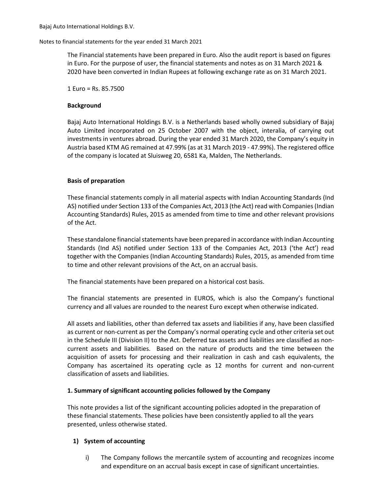The Financial statements have been prepared in Euro. Also the audit report is based on figures in Euro. For the purpose of user, the financial statements and notes as on 31 March 2021 & 2020 have been converted in Indian Rupees at following exchange rate as on 31 March 2021.

1 Euro = Rs. 85.7500

## **Background**

Bajaj Auto International Holdings B.V. is a Netherlands based wholly owned subsidiary of Bajaj Auto Limited incorporated on 25 October 2007 with the object, interalia, of carrying out investments in ventures abroad. During the year ended 31 March 2020, the Company's equity in Austria based KTM AG remained at 47.99% (as at 31 March 2019 - 47.99%). The registered office of the company is located at Sluisweg 20, 6581 Ka, Malden, The Netherlands.

## **Basis of preparation**

These financial statements comply in all material aspects with Indian Accounting Standards (Ind AS) notified under Section 133 of the Companies Act, 2013 (the Act) read with Companies (Indian Accounting Standards) Rules, 2015 as amended from time to time and other relevant provisions of the Act.

These standalone financial statements have been prepared in accordance with Indian Accounting Standards (Ind AS) notified under Section 133 of the Companies Act, 2013 ('the Act') read together with the Companies (Indian Accounting Standards) Rules, 2015, as amended from time to time and other relevant provisions of the Act, on an accrual basis.

The financial statements have been prepared on a historical cost basis.

The financial statements are presented in EUROS, which is also the Company's functional currency and all values are rounded to the nearest Euro except when otherwise indicated.

All assets and liabilities, other than deferred tax assets and liabilities if any, have been classified as current or non-current as per the Company's normal operating cycle and other criteria set out in the Schedule III (Division II) to the Act. Deferred tax assets and liabilities are classified as noncurrent assets and liabilities. Based on the nature of products and the time between the acquisition of assets for processing and their realization in cash and cash equivalents, the Company has ascertained its operating cycle as 12 months for current and non-current classification of assets and liabilities.

## **1. Summary of significant accounting policies followed by the Company**

This note provides a list of the significant accounting policies adopted in the preparation of these financial statements. These policies have been consistently applied to all the years presented, unless otherwise stated.

## **1) System of accounting**

 i) The Company follows the mercantile system of accounting and recognizes income and expenditure on an accrual basis except in case of significant uncertainties.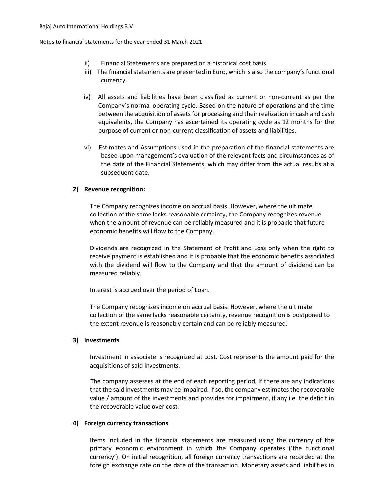- ii) Financial Statements are prepared on a historical cost basis.
- iii) The financial statements are presented in Euro, which is also the company's functional currency.
- iv) All assets and liabilities have been classified as current or non-current as per the Company's normal operating cycle. Based on the nature of operations and the time between the acquisition of assets for processing and their realization in cash and cash equivalents, the Company has ascertained its operating cycle as 12 months for the purpose of current or non-current classification of assets and liabilities.
- vi) Estimates and Assumptions used in the preparation of the financial statements are based upon management's evaluation of the relevant facts and circumstances as of the date of the Financial Statements, which may differ from the actual results at a subsequent date.

## **2) Revenue recognition:**

The Company recognizes income on accrual basis. However, where the ultimate collection of the same lacks reasonable certainty, the Company recognizes revenue when the amount of revenue can be reliably measured and it is probable that future economic benefits will flow to the Company.

Dividends are recognized in the Statement of Profit and Loss only when the right to receive payment is established and it is probable that the economic benefits associated with the dividend will flow to the Company and that the amount of dividend can be measured reliably.

Interest is accrued over the period of Loan.

The Company recognizes income on accrual basis. However, where the ultimate collection of the same lacks reasonable certainty, revenue recognition is postponed to the extent revenue is reasonably certain and can be reliably measured.

## **3) Investments**

Investment in associate is recognized at cost. Cost represents the amount paid for the acquisitions of said investments.

The company assesses at the end of each reporting period, if there are any indications that the said investments may be impaired. If so, the company estimates the recoverable value / amount of the investments and provides for impairment, if any i.e. the deficit in the recoverable value over cost.

## **4) Foreign currency transactions**

Items included in the financial statements are measured using the currency of the primary economic environment in which the Company operates ('the functional currency'). On initial recognition, all foreign currency transactions are recorded at the foreign exchange rate on the date of the transaction. Monetary assets and liabilities in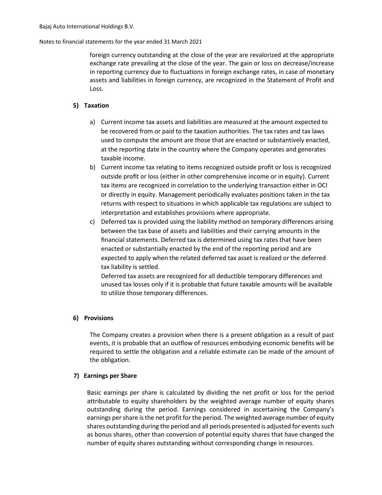foreign currency outstanding at the close of the year are revalorized at the appropriate exchange rate prevailing at the close of the year. The gain or loss on decrease/increase in reporting currency due to fluctuations in foreign exchange rates, in case of monetary assets and liabilities in foreign currency, are recognized in the Statement of Profit and Loss.

## **5) Taxation**

- a) Current income tax assets and liabilities are measured at the amount expected to be recovered from or paid to the taxation authorities. The tax rates and tax laws used to compute the amount are those that are enacted or substantively enacted, at the reporting date in the country where the Company operates and generates taxable income.
- b) Current income tax relating to items recognized outside profit or loss is recognized outside profit or loss (either in other comprehensive income or in equity). Current tax items are recognized in correlation to the underlying transaction either in OCI or directly in equity. Management periodically evaluates positions taken in the tax returns with respect to situations in which applicable tax regulations are subject to interpretation and establishes provisions where appropriate.
- c) Deferred tax is provided using the liability method on temporary differences arising between the tax base of assets and liabilities and their carrying amounts in the financial statements. Deferred tax is determined using tax rates that have been enacted or substantially enacted by the end of the reporting period and are expected to apply when the related deferred tax asset is realized or the deferred tax liability is settled.

Deferred tax assets are recognized for all deductible temporary differences and unused tax losses only if it is probable that future taxable amounts will be available to utilize those temporary differences.

## **6) Provisions**

The Company creates a provision when there is a present obligation as a result of past events, it is probable that an outflow of resources embodying economic benefits will be required to settle the obligation and a reliable estimate can be made of the amount of the obligation.

## **7) Earnings per Share**

Basic earnings per share is calculated by dividing the net profit or loss for the period attributable to equity shareholders by the weighted average number of equity shares outstanding during the period. Earnings considered in ascertaining the Company's earnings per share is the net profit for the period. The weighted average number of equity shares outstanding during the period and all periods presented is adjusted for events such as bonus shares, other than conversion of potential equity shares that have changed the number of equity shares outstanding without corresponding change in resources.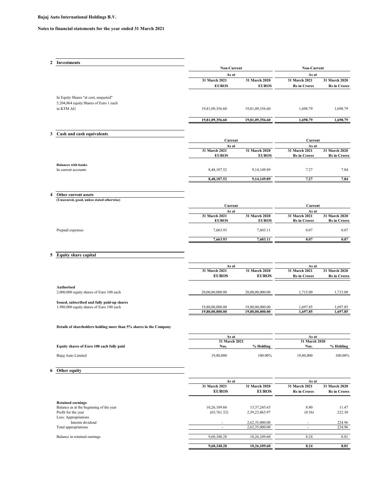| 2<br>3<br>4 | Investments<br>In Equity Shares "at cost, unquoted"<br>5,204,864 equity Shares of Euro 1 each<br>in KTM AG<br>Cash and cash equivalents<br><b>Balances with banks</b><br>In current accounts<br>Other current assets<br>(Unsecured, good, unless stated otherwise) | Non-Current<br>As at<br>31 March 2021<br><b>EUROS</b><br>19,81,09,356.60<br>19,81,09,356.60<br>Current<br>As at<br>31 March 2021<br><b>EUROS</b><br>8,48,187.52<br>8,48,187.52 | 31 March 2020<br><b>EUROS</b><br>19,81,09,356.60<br>19,81,09,356.60<br>31 March 2020<br><b>EUROS</b><br>9, 14, 149.89<br>9,14,149.89 | Non-Current<br>As at<br>31 March 2021<br><b>Rs in Crores</b><br>1,698.79<br>1,698.79<br>Current<br>As at<br>31 March 2021<br><b>Rs</b> in Crores<br>7.27 | 31 March 2020<br><b>Rs</b> in Crores<br>1,698.79<br>1,698.79<br>31 March 2020<br><b>Rs</b> in Crores |
|-------------|--------------------------------------------------------------------------------------------------------------------------------------------------------------------------------------------------------------------------------------------------------------------|--------------------------------------------------------------------------------------------------------------------------------------------------------------------------------|--------------------------------------------------------------------------------------------------------------------------------------|----------------------------------------------------------------------------------------------------------------------------------------------------------|------------------------------------------------------------------------------------------------------|
|             |                                                                                                                                                                                                                                                                    |                                                                                                                                                                                |                                                                                                                                      |                                                                                                                                                          |                                                                                                      |
|             |                                                                                                                                                                                                                                                                    |                                                                                                                                                                                |                                                                                                                                      |                                                                                                                                                          |                                                                                                      |
|             |                                                                                                                                                                                                                                                                    |                                                                                                                                                                                |                                                                                                                                      |                                                                                                                                                          |                                                                                                      |
|             |                                                                                                                                                                                                                                                                    |                                                                                                                                                                                |                                                                                                                                      |                                                                                                                                                          |                                                                                                      |
|             |                                                                                                                                                                                                                                                                    |                                                                                                                                                                                |                                                                                                                                      |                                                                                                                                                          |                                                                                                      |
|             |                                                                                                                                                                                                                                                                    |                                                                                                                                                                                |                                                                                                                                      |                                                                                                                                                          |                                                                                                      |
|             |                                                                                                                                                                                                                                                                    |                                                                                                                                                                                |                                                                                                                                      |                                                                                                                                                          |                                                                                                      |
|             |                                                                                                                                                                                                                                                                    |                                                                                                                                                                                |                                                                                                                                      |                                                                                                                                                          |                                                                                                      |
|             |                                                                                                                                                                                                                                                                    |                                                                                                                                                                                |                                                                                                                                      |                                                                                                                                                          |                                                                                                      |
|             |                                                                                                                                                                                                                                                                    |                                                                                                                                                                                |                                                                                                                                      |                                                                                                                                                          |                                                                                                      |
|             |                                                                                                                                                                                                                                                                    |                                                                                                                                                                                |                                                                                                                                      |                                                                                                                                                          | 7.84                                                                                                 |
|             |                                                                                                                                                                                                                                                                    |                                                                                                                                                                                |                                                                                                                                      | 7.27                                                                                                                                                     | 7.84                                                                                                 |
|             |                                                                                                                                                                                                                                                                    |                                                                                                                                                                                |                                                                                                                                      |                                                                                                                                                          |                                                                                                      |
|             |                                                                                                                                                                                                                                                                    |                                                                                                                                                                                |                                                                                                                                      |                                                                                                                                                          |                                                                                                      |
|             |                                                                                                                                                                                                                                                                    | Current<br>As at                                                                                                                                                               |                                                                                                                                      | Current<br>As at                                                                                                                                         |                                                                                                      |
|             |                                                                                                                                                                                                                                                                    | 31 March 2021<br><b>EUROS</b>                                                                                                                                                  | 31 March 2020<br><b>EUROS</b>                                                                                                        | 31 March 2021<br><b>Rs</b> in Crores                                                                                                                     | 31 March 2020<br><b>Rs</b> in Crores                                                                 |
|             | Prepaid expenses                                                                                                                                                                                                                                                   | 7,663.93                                                                                                                                                                       | 7,603.11                                                                                                                             | 0.07                                                                                                                                                     | 0.07                                                                                                 |
|             |                                                                                                                                                                                                                                                                    | 7,663.93                                                                                                                                                                       | 7,603.11                                                                                                                             | 0.07                                                                                                                                                     | 0.07                                                                                                 |
| 5           | <b>Equity share capital</b>                                                                                                                                                                                                                                        | As at                                                                                                                                                                          |                                                                                                                                      | As at                                                                                                                                                    |                                                                                                      |
|             |                                                                                                                                                                                                                                                                    | 31 March 2021<br><b>EUROS</b>                                                                                                                                                  | 31 March 2020<br><b>EUROS</b>                                                                                                        | 31 March 2021<br><b>Rs</b> in Crores                                                                                                                     | 31 March 2020<br><b>Rs</b> in Crores                                                                 |
|             |                                                                                                                                                                                                                                                                    |                                                                                                                                                                                |                                                                                                                                      |                                                                                                                                                          |                                                                                                      |
|             | Authorised<br>2,000,000 equity shares of Euro 100 each                                                                                                                                                                                                             | 20,00,00,000.00                                                                                                                                                                | 20,00,00,000.00                                                                                                                      | 1,715.00                                                                                                                                                 | 1,715.00                                                                                             |
|             | Issued, subscribed and fully paid-up shares<br>1,980,000 equity shares of Euro 100 each                                                                                                                                                                            | 19,80,00,000.00                                                                                                                                                                | 19,80,00,000.00                                                                                                                      | 1,697.85                                                                                                                                                 | 1,697.85                                                                                             |
|             |                                                                                                                                                                                                                                                                    | 19,80,00,000.00                                                                                                                                                                | 19,80,00,000.00                                                                                                                      | 1,697.85                                                                                                                                                 | 1,697.85                                                                                             |
|             | Details of shareholders holding more than 5% shares in the Company                                                                                                                                                                                                 |                                                                                                                                                                                |                                                                                                                                      |                                                                                                                                                          |                                                                                                      |
|             |                                                                                                                                                                                                                                                                    | As at                                                                                                                                                                          |                                                                                                                                      | As at                                                                                                                                                    |                                                                                                      |
|             | Equity shares of Euro 100 each fully paid                                                                                                                                                                                                                          | 31 March 2021<br>Nos.                                                                                                                                                          | % Holding                                                                                                                            | 31 March 2020<br>Nos.                                                                                                                                    | % Holding                                                                                            |
|             | Bajaj Auto Limited                                                                                                                                                                                                                                                 | 19,80,000                                                                                                                                                                      | 100.00%                                                                                                                              | 19,80,000                                                                                                                                                | 100.00%                                                                                              |
|             |                                                                                                                                                                                                                                                                    |                                                                                                                                                                                |                                                                                                                                      |                                                                                                                                                          |                                                                                                      |
| 6           | Other equity                                                                                                                                                                                                                                                       |                                                                                                                                                                                |                                                                                                                                      |                                                                                                                                                          |                                                                                                      |
|             |                                                                                                                                                                                                                                                                    | As at<br>31 March 2021                                                                                                                                                         | 31 March 2020                                                                                                                        | As at<br>31 March 2021                                                                                                                                   | 31 March 2020                                                                                        |
|             |                                                                                                                                                                                                                                                                    | <b>EUROS</b>                                                                                                                                                                   | <b>EUROS</b>                                                                                                                         | <b>Rs</b> in Crores                                                                                                                                      | <b>Rs</b> in Crores                                                                                  |
|             | <b>Retained earnings</b><br>Balance as at the beginning of the year<br>Profit for the year                                                                                                                                                                         | 10,26,109.60<br>(65,761.32)                                                                                                                                                    | 13, 37, 245. 63<br>2,59,23,863.97                                                                                                    | 8.80<br>(0.56)                                                                                                                                           | 11.47<br>222.30                                                                                      |
|             | Less: Appropriations<br>Interim dividend                                                                                                                                                                                                                           |                                                                                                                                                                                | 2,62,35,000.00                                                                                                                       | $\overline{\phantom{a}}$                                                                                                                                 | 224.96                                                                                               |
|             | Total appropriations                                                                                                                                                                                                                                               | $\sim$                                                                                                                                                                         | 2,62,35,000.00                                                                                                                       | $\overline{\phantom{a}}$                                                                                                                                 | 224.96                                                                                               |
|             |                                                                                                                                                                                                                                                                    | 9,60,348.28                                                                                                                                                                    | 10,26,109.60                                                                                                                         | 8.24                                                                                                                                                     | 8.81                                                                                                 |
|             | Balance in retained earnings                                                                                                                                                                                                                                       | 9,60,348.28                                                                                                                                                                    | 10,26,109.60                                                                                                                         | 8.24                                                                                                                                                     | 8.81                                                                                                 |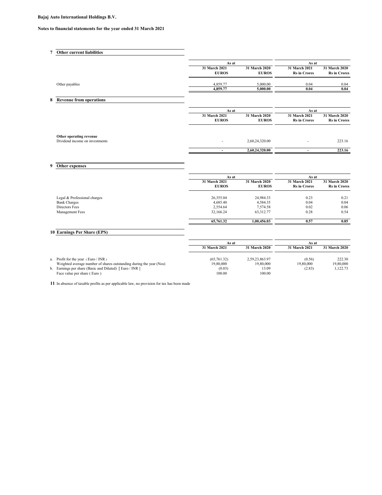## **Notes to financial statements for the year ended 31 March 2021**

|   | <b>Other current liabilities</b>                          |                               |                               |                                      |                                      |
|---|-----------------------------------------------------------|-------------------------------|-------------------------------|--------------------------------------|--------------------------------------|
|   |                                                           | As at                         |                               | As at                                |                                      |
|   |                                                           | 31 March 2021<br><b>EUROS</b> | 31 March 2020<br><b>EUROS</b> | 31 March 2021<br><b>Rs</b> in Crores | 31 March 2020<br><b>Rs</b> in Crores |
|   | Other payables                                            | 4,859.77                      | 5,000.00                      | 0.04                                 | 0.04                                 |
|   |                                                           | 4,859.77                      | 5,000.00                      | 0.04                                 | 0.04                                 |
| 8 | <b>Revenue from operations</b>                            | As at                         |                               | As at                                |                                      |
|   |                                                           | 31 March 2021<br><b>EUROS</b> | 31 March 2020<br><b>EUROS</b> | 31 March 2021<br><b>Rs</b> in Crores | 31 March 2020<br><b>Rs</b> in Crores |
|   | Other operating revenue<br>Dividend income on investments | $\overline{\phantom{a}}$      | 2,60,24,320.00                | $\overline{\phantom{a}}$             | 223.16                               |
|   |                                                           |                               | 2,60,24,320.00                |                                      | 223.16                               |
|   |                                                           |                               |                               |                                      |                                      |

## **9 Other expenses**

|                              | As at                         |                               | As at                                |                                      |
|------------------------------|-------------------------------|-------------------------------|--------------------------------------|--------------------------------------|
|                              | 31 March 2021<br><b>EUROS</b> | 31 March 2020<br><b>EUROS</b> | 31 March 2021<br><b>Rs</b> in Crores | 31 March 2020<br><b>Rs</b> in Crores |
| Legal & Professional charges | 26,355.04                     | 24,984.33                     | 0.23                                 | 0.21                                 |
| <b>Bank Charges</b>          | 4,685.40                      | 4,584.35                      | 0.04                                 | 0.04                                 |
| Directors Fees               | 2,554.64                      | 7,574.58                      | 0.02                                 | 0.06                                 |
| Management Fees              | 32,166.24                     | 63,312.77                     | 0.28                                 | 0.54                                 |
|                              | 65,761.32                     | 1,00,456.03                   | 0.57                                 | 0.85                                 |

## **10 Earnings Per Share (EPS)**

|                                                                     | As at                          |                | As at         |                      |
|---------------------------------------------------------------------|--------------------------------|----------------|---------------|----------------------|
|                                                                     | 31 March 2020<br>31 March 2021 |                | 31 March 2021 | <b>31 March 2020</b> |
| a. Profit for the year $( Euro / INR)$                              | (65, 761, 32)                  | 2.59.23.863.97 | (0.56)        | 222.30               |
| Weighted average number of shares outstanding during the year (Nos) | 19,80,000                      | 19,80,000      | 19,80,000     | 19,80,000            |
| b. Earnings per share (Basic and Diluted) [Euro / INR]              | (0.03)                         | 13.09          | (2.83)        | 1.122.73             |
| Face value per share (Euro)                                         | 100.00                         | 100.00         |               |                      |

**11** In absence of taxable profits as per applicable law, no provision for tax has been made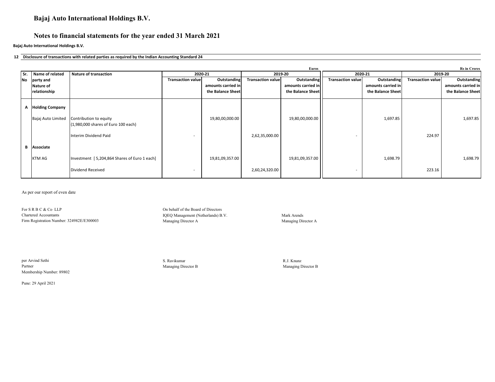## **Notes to financial statements for the year ended 31 March 2021**

**Bajaj Auto International Holdings B.V.**

#### **12 Disclosure of transactions with related parties as required by the Indian Accounting Standard 24**

|    |                        |                                                               |                          |                    |                          | <b>Euros</b>       |                          |                    |                          | <b>Rs</b> in Crores |
|----|------------------------|---------------------------------------------------------------|--------------------------|--------------------|--------------------------|--------------------|--------------------------|--------------------|--------------------------|---------------------|
|    | Sr. Name of related    | <b>Nature of transaction</b><br>2020-21                       |                          |                    | 2020-21<br>2019-20       |                    |                          |                    | 2019-20                  |                     |
| No | party and              |                                                               | <b>Transaction value</b> | Outstanding        | <b>Transaction value</b> | Outstanding        | <b>Transaction value</b> | Outstanding        | <b>Transaction value</b> | Outstanding         |
|    | Nature of              |                                                               |                          | amounts carried in |                          | amounts carried in |                          | amounts carried in |                          | amounts carried in  |
|    | relationship           |                                                               |                          | the Balance Sheet  |                          | the Balance Sheet  |                          | the Balance Sheet  |                          | the Balance Sheet   |
|    |                        |                                                               |                          |                    |                          |                    |                          |                    |                          |                     |
| А  | <b>Holding Company</b> |                                                               |                          |                    |                          |                    |                          |                    |                          |                     |
|    | Bajaj Auto Limited     | Contribution to equity<br>(1,980,000 shares of Euro 100 each) |                          | 19,80,00,000.00    |                          | 19,80,00,000.00    |                          | 1,697.85           |                          | 1,697.85            |
|    |                        | Interim Dividend Paid                                         |                          |                    | 2,62,35,000.00           |                    |                          |                    | 224.97                   |                     |
| В  | Associate              |                                                               |                          |                    |                          |                    |                          |                    |                          |                     |
|    | <b>KTM AG</b>          | Investment [5,204,864 Shares of Euro 1 each]                  |                          | 19,81,09,357.00    |                          | 19,81,09,357.00    |                          | 1,698.79           |                          | 1,698.79            |
|    |                        | Dividend Received                                             | $\overline{\phantom{a}}$ |                    | 2,60,24,320.00           |                    | $\overline{\phantom{a}}$ |                    | 223.16                   |                     |

As per our report of even date

For S R B C & Co LLP On behalf of the Board of Directors Chartered Accountants<br>
IQEQ Management (Netherlands) B.V. Mark Arends<br>
Managing Director A Managing Director A Managing Director A Managing Director A Firm Registration Number: 324982E/E300003 Managing Director A Managing Director A

per Arvind Sethi S. Ravikumar R.J. Knunz Partner Managing Director B Managing Director B Managing Director B Managing Director B Membership Number: 89802

Pune: 29 April 2021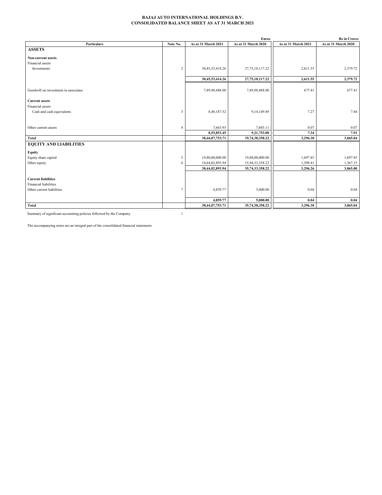#### **BAJAJ AUTO INTERNATIONAL HOLDINGS B.V. CONSOLIDATED BALANCE SHEET AS AT 31 MARCH 2021**

|                                      |                |                     | <b>Euros</b>        |                     | <b>Rs</b> in Crores |
|--------------------------------------|----------------|---------------------|---------------------|---------------------|---------------------|
| <b>Particulars</b>                   | Note No.       | As at 31 March 2021 | As at 31 March 2020 | As at 31 March 2021 | As at 31 March 2020 |
| <b>ASSETS</b>                        |                |                     |                     |                     |                     |
| <b>Non-current assets</b>            |                |                     |                     |                     |                     |
| Financial assets                     |                |                     |                     |                     |                     |
| Investments                          | $\overline{c}$ | 30,45,53,414.26     | 27, 75, 18, 117. 22 | 2,611.55            | 2,379.72            |
|                                      |                | 30,45,53,414.26     | 27,75,18,117.22     | 2,611.55            | 2,379.72            |
|                                      |                |                     |                     |                     |                     |
| Goodwill on investment in associates |                | 7,89,98,488.00      | 7,89,98,488.00      | 677.41              | 677.41              |
| <b>Current assets</b>                |                |                     |                     |                     |                     |
| Financial assets                     |                |                     |                     |                     |                     |
| Cash and cash equivalents            | 3              | 8,48,187.52         | 9,14,149.89         | 7.27                | 7.84                |
|                                      |                |                     |                     |                     |                     |
| Other current assets                 | $\overline{4}$ | 7,663.93            | 7,603.11            | 0.07                | 0.07                |
|                                      |                | 8,55,851.45         | 9,21,753.00         | 7.34                | 7.91                |
| Total                                |                | 38,44,07,753.71     | 35,74,38,358.22     | 3,296.30            | 3,065.04            |
| <b>EQUITY AND LIABILITIES</b>        |                |                     |                     |                     |                     |
| Equity                               |                |                     |                     |                     |                     |
| Equity share capital                 | 5              | 19,80,00,000.00     | 19,80,00,000.00     | 1,697.85            | 1,697.85            |
| Other equity                         | 6              | 18,64,02,893.94     | 15,94,33,358.22     | 1,598.41            | 1,367.15            |
|                                      |                | 38,44,02,893.94     | 35,74,33,358.22     | 3,296.26            | 3,065.00            |
| <b>Current liabilities</b>           |                |                     |                     |                     |                     |
| Financial liabilities                |                |                     |                     |                     |                     |
| Other current liabilities            | $\tau$         | 4,859.77            | 5,000.00            | 0.04                | 0.04                |
|                                      |                |                     |                     |                     |                     |
|                                      |                | 4,859.77            | 5,000.00            | 0.04                | 0.04                |
| Total                                |                | 38,44,07,753.71     | 35,74,38,358.22     | 3,296.30            | 3,065.04            |

Summary of significant accounting policies followed by the Company 1

The accompanying notes are an integral part of the consolidated financial statements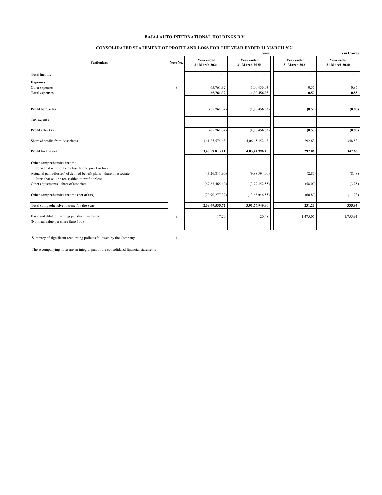#### **CONSOLIDATED STATEMENT OF PROFIT AND LOSS FOR THE YEAR ENDED 31 MARCH 2021**

|                                                                                                                             |          |                                    | Euros                              |                                    | <b>Rs</b> in Crores                |
|-----------------------------------------------------------------------------------------------------------------------------|----------|------------------------------------|------------------------------------|------------------------------------|------------------------------------|
| <b>Particulars</b>                                                                                                          | Note No. | <b>Year ended</b><br>31 March 2021 | <b>Year ended</b><br>31 March 2020 | <b>Year ended</b><br>31 March 2021 | <b>Year ended</b><br>31 March 2020 |
| <b>Total income</b>                                                                                                         |          | $\overline{\phantom{a}}$           | $\overline{\phantom{a}}$           | $\overline{\phantom{a}}$           | $\overline{\phantom{a}}$           |
| <b>Expenses</b>                                                                                                             |          |                                    |                                    |                                    |                                    |
| Other expenses                                                                                                              | 8        | 65,761.32                          | 1,00,456.03                        | 0.57                               | 0.85                               |
| <b>Total expenses</b>                                                                                                       |          | 65,761.32                          | 1,00,456.03                        | 0.57                               | 0.85                               |
| Profit before tax                                                                                                           |          | (65,761.32)                        | (1,00,456.03)                      | (0.57)                             | (0.85)                             |
| Tax expense                                                                                                                 |          | ÷                                  | ÷,                                 | $\sim$                             | $\sim$                             |
| Profit after tax                                                                                                            |          | (65,761.32)                        | (1,00,456.03)                      | (0.57)                             | (0.85)                             |
| Share of profits from Associates                                                                                            |          | 3,41,25,574.43                     | 4,06,45,452.48                     | 292.63                             | 348.53                             |
| Profit for the year                                                                                                         |          | 3,40,59,813.11                     | 4,05,44,996.45                     | 292.06                             | 347.68                             |
| Other comprehensive income<br>Items that will not be reclassified to profit or loss                                         |          |                                    |                                    |                                    |                                    |
| Actuarial gains/(losses) of defined benefit plans - share of associate<br>Items that will be reclassified to profit or loss |          | (3,26,811.90)                      | (9,88,594.00)                      | (2.80)                             | (8.48)                             |
| Other adjustments - share of associate                                                                                      |          | (67, 63, 465.49)                   | (3,79,452.55)                      | (58.00)                            | (3.25)                             |
| Other comprehensive income (net of tax)                                                                                     |          | (70,90,277.39)                     | (13,68,046.55)                     | (60.80)                            | (11.73)                            |
| Total comprehensive income for the year                                                                                     |          | 2,69,69,535.72                     | 3,91,76,949.90                     | 231.26                             | 335.95                             |
| Basic and diluted Earnings per share (in Euro)<br>(Nominal value per share Euro 100)                                        | 9        | 17.20                              | 20.48                              | 1,475.05                           | 1,755.91                           |

Summary of significant accounting policies followed by the Company 1

The accompanying notes are an integral part of the consolidated financial statements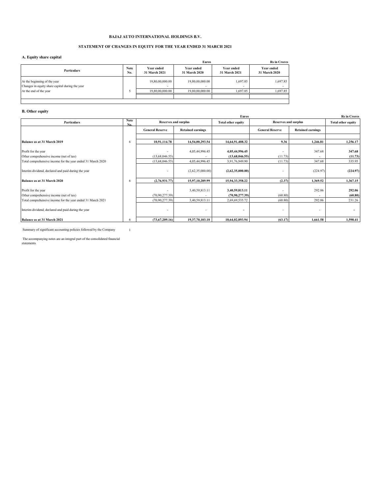#### **STATEMENT OF CHANGES IN EQUITY FOR THE YEAR ENDED 31 MARCH 2021**

#### **A. Equity share capital**

|                                                                                 | <b>Euros</b>       | <b>Rs</b> in Crores         |                                             |                                      |                             |
|---------------------------------------------------------------------------------|--------------------|-----------------------------|---------------------------------------------|--------------------------------------|-----------------------------|
| <b>Particulars</b>                                                              | <b>Note</b><br>No. | Year ended<br>31 March 2021 | Year ended<br>31 March 2020                 | <b>Year ended</b><br>31 March 2021   | Year ended<br>31 March 2020 |
| At the beginning of the year<br>Changes in equity share capital during the year |                    | 19,80,00,000.00<br>. .      | 19,80,00,000.00<br>$\overline{\phantom{a}}$ | 1,697.85<br>$\overline{\phantom{a}}$ | 1,697.85                    |
| At the end of the year                                                          |                    | 19,80,00,000,00             | 19,80,00,000,00                             | 1,697.85                             | 1,697.85                    |
|                                                                                 |                    |                             |                                             |                                      |                             |

## **B. Other equity**

|                                                             |                    |                          |                             | <b>Euros</b>                                             |                          |                          | <b>Rs</b> in Crores       |
|-------------------------------------------------------------|--------------------|--------------------------|-----------------------------|----------------------------------------------------------|--------------------------|--------------------------|---------------------------|
| <b>Particulars</b>                                          | <b>Note</b><br>No. |                          | <b>Reserves and surplus</b> | <b>Reserves and surplus</b><br><b>Total other equity</b> |                          |                          | <b>Total other equity</b> |
|                                                             |                    | <b>General Reserve</b>   | <b>Retained earnings</b>    |                                                          | <b>General Reserve</b>   | <b>Retained earnings</b> |                           |
| Balance as at 31 March 2019                                 | 6                  | 10,91,114.78             | 14,54,00,293.54             | 14,64,91,408.32                                          | 9.36                     | 1.246.81                 | 1,256.17                  |
|                                                             |                    |                          |                             |                                                          |                          |                          |                           |
| Profit for the year                                         |                    | $\overline{\phantom{a}}$ | 4,05,44,996.45              | 4,05,44,996.45                                           |                          | 347.68                   | 347.68                    |
| Other comprehensive income (net of tax)                     |                    | (13,68,046.55)           |                             | (13,68,046.55)                                           | (11.73)                  |                          | (11.73)                   |
| Total comprehensive income for the year ended 31 March 2020 |                    | (13,68,046.55)           | 4,05,44,996.45              | 3,91,76,949.90                                           | (11.73)                  | 347.68                   | 335.95                    |
| Interim dividend, declared and paid during the year         |                    | $\overline{\phantom{a}}$ | (2,62,35,000.00)            | (2,62,35,000.00)                                         |                          | (224.97)                 | (224.97)                  |
| Balance as at 31 March 2020                                 | 6                  | (2,76,931.77)            | 15,97,10,289.99             | 15,94,33,358.22                                          | (2.37)                   | 1,369.52                 | 1,367.15                  |
| Profit for the year                                         |                    |                          | 3,40,59,813.11              | 3,40,59,813.11                                           |                          | 292.06                   | 292.06                    |
| Other comprehensive income (net of tax)                     |                    | (70.90.277.39)           |                             | (70.90, 277.39)                                          | (60.80)                  |                          | (60.80)                   |
| Total comprehensive income for the year ended 31 March 2021 |                    | (70, 90, 277, 39)        | 3,40,59,813.11              | 2,69,69,535.72                                           | (60.80)                  | 292.06                   | 231.26                    |
| Interim dividend, declared and paid during the year         |                    | $\overline{\phantom{a}}$ |                             | $\overline{\phantom{a}}$                                 | $\overline{\phantom{a}}$ | $\overline{\phantom{a}}$ |                           |
| Balance as at 31 March 2021                                 | 6                  | (73,67,209.16)           | 19,37,70,103.10             | 18,64,02,893.94                                          | (63.17)                  | 1,661.58                 | 1,598.41                  |

Summary of significant accounting policies followed by the Company 1

The accompanying notes are an integral part of the consolidated financial statements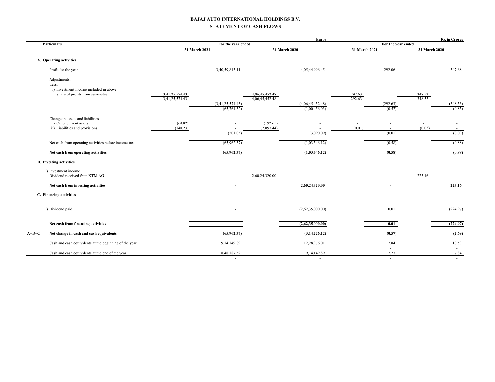#### **BAJAJ AUTO INTERNATIONAL HOLDINGS B.V. STATEMENT OF CASH FLOWS**

|                                  |                                 |                | <b>Euros</b>                                       |               |                          |                  | Rs. in Crores                                 |
|----------------------------------|---------------------------------|----------------|----------------------------------------------------|---------------|--------------------------|------------------|-----------------------------------------------|
|                                  |                                 |                |                                                    |               |                          |                  |                                               |
|                                  |                                 |                |                                                    |               |                          |                  |                                               |
|                                  |                                 |                |                                                    |               |                          |                  |                                               |
|                                  | 3,40,59,813.11                  |                | 4,05,44,996.45                                     |               | 292.06                   |                  | 347.68                                        |
|                                  |                                 |                |                                                    |               |                          |                  |                                               |
| 3,41,25,574.43<br>3,41,25,574.43 | (3,41,25,574.43)<br>(65,761.32) | 4,06,45,452.48 | (4,06,45,452.48)<br>(1,00,456.03)                  | 292.63        | (292.63)<br>(0.57)       | 348.53<br>348.53 | (348.53)<br>(0.85)                            |
|                                  |                                 |                |                                                    |               |                          |                  |                                               |
| (60.82)                          |                                 | (192.65)       | ٠                                                  | $\sim$        | $\overline{\phantom{a}}$ | $\sim$           | $\sim$                                        |
|                                  | (201.05)                        |                | (3,090.09)                                         |               | (0.01)                   |                  | $\sim$<br>(0.03)                              |
|                                  | (65,962.37)                     |                | (1,03,546.12)                                      |               | (0.58)                   |                  | (0.88)                                        |
|                                  | (65,962.37)                     |                | (1,03,546.12)                                      |               | (0.58)                   |                  | (0.88)                                        |
|                                  |                                 |                |                                                    |               |                          |                  |                                               |
|                                  |                                 | 2,60,24,320.00 |                                                    |               |                          | 223.16           |                                               |
|                                  | $\sim$                          |                | 2,60,24,320.00                                     |               | $\sim$                   |                  | 223.16                                        |
|                                  |                                 |                |                                                    |               |                          |                  |                                               |
|                                  |                                 |                | (2,62,35,000.00)                                   |               | 0.01                     |                  | (224.97)                                      |
|                                  |                                 |                | (2,62,35,000.00)                                   |               | 0.01                     |                  | (224.97)                                      |
|                                  | (65,962.37)                     |                | (3,14,226.12)                                      |               | (0.57)                   |                  | (2.69)                                        |
|                                  | 9,14,149.89                     |                | 12,28,376.01                                       |               | 7.84                     |                  | 10.53                                         |
|                                  |                                 |                |                                                    |               | $\sim$                   |                  | $\sim$                                        |
|                                  | (140.23)                        | 31 March 2021  | For the year ended<br>4,06,45,452.48<br>(2,897.44) | 31 March 2020 | 292.63<br>(0.01)         | 31 March 2021    | For the year ended<br>31 March 2020<br>(0.03) |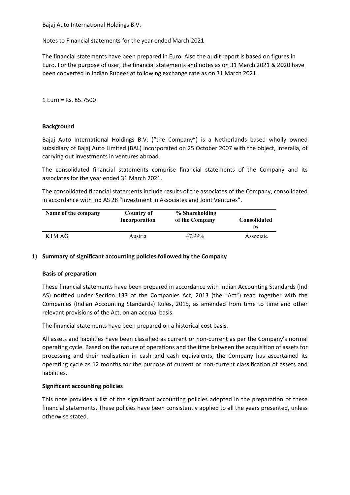Notes to Financial statements for the year ended March 2021

The financial statements have been prepared in Euro. Also the audit report is based on figures in Euro. For the purpose of user, the financial statements and notes as on 31 March 2021 & 2020 have been converted in Indian Rupees at following exchange rate as on 31 March 2021.

1 Euro = Rs. 85.7500

## **Background**

Bajaj Auto International Holdings B.V. ("the Company") is a Netherlands based wholly owned subsidiary of Bajaj Auto Limited (BAL) incorporated on 25 October 2007 with the object, interalia, of carrying out investments in ventures abroad.

The consolidated financial statements comprise financial statements of the Company and its associates for the year ended 31 March 2021.

The consolidated financial statements include results of the associates of the Company, consolidated in accordance with Ind AS 28 "Investment in Associates and Joint Ventures".

| Name of the company | Country of    | % Shareholding | Consolidated |
|---------------------|---------------|----------------|--------------|
|                     | Incorporation | of the Company | as           |
| KTM AG              | Austria       | 47.99%         | Associate    |

## **1) Summary of significant accounting policies followed by the Company**

## **Basis of preparation**

These financial statements have been prepared in accordance with Indian Accounting Standards (Ind AS) notified under Section 133 of the Companies Act, 2013 (the "Act") read together with the Companies (Indian Accounting Standards) Rules, 2015, as amended from time to time and other relevant provisions of the Act, on an accrual basis.

The financial statements have been prepared on a historical cost basis.

All assets and liabilities have been classified as current or non-current as per the Company's normal operating cycle. Based on the nature of operations and the time between the acquisition of assets for processing and their realisation in cash and cash equivalents, the Company has ascertained its operating cycle as 12 months for the purpose of current or non-current classification of assets and liabilities.

## **Significant accounting policies**

This note provides a list of the significant accounting policies adopted in the preparation of these financial statements. These policies have been consistently applied to all the years presented, unless otherwise stated.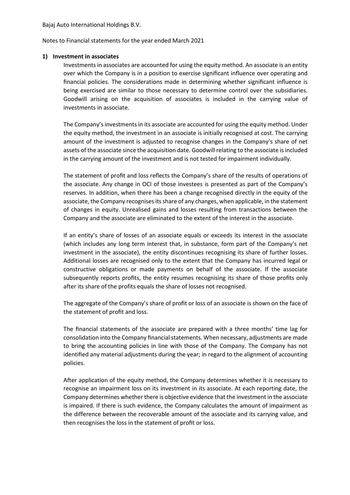Notes to Financial statements for the year ended March 2021

## **1) Investment in associates**

Investments in associates are accounted for using the equity method. An associate is an entity over which the Company is in a position to exercise significant influence over operating and financial policies. The considerations made in determining whether significant influence is being exercised are similar to those necessary to determine control over the subsidiaries. Goodwill arising on the acquisition of associates is included in the carrying value of investments in associate.

The Company's investments in its associate are accounted for using the equity method. Under the equity method, the investment in an associate is initially recognised at cost. The carrying amount of the investment is adjusted to recognise changes in the Company's share of net assets of the associate since the acquisition date. Goodwill relating to the associate is included in the carrying amount of the investment and is not tested for impairment individually.

The statement of profit and loss reflects the Company's share of the results of operations of the associate. Any change in OCI of those investees is presented as part of the Company's reserves. In addition, when there has been a change recognised directly in the equity of the associate, the Company recognises its share of any changes, when applicable, in the statement of changes in equity. Unrealised gains and losses resulting from transactions between the Company and the associate are eliminated to the extent of the interest in the associate.

If an entity's share of losses of an associate equals or exceeds its interest in the associate (which includes any long term interest that, in substance, form part of the Company's net investment in the associate), the entity discontinues recognising its share of further losses. Additional losses are recognised only to the extent that the Company has incurred legal or constructive obligations or made payments on behalf of the associate. If the associate subsequently reports profits, the entity resumes recognising its share of those profits only after its share of the profits equals the share of losses not recognised.

The aggregate of the Company's share of profit or loss of an associate is shown on the face of the statement of profit and loss.

The financial statements of the associate are prepared with a three months' time lag for consolidation into the Company financial statements. When necessary, adjustments are made to bring the accounting policies in line with those of the Company. The Company has not identified any material adjustments during the year; in regard to the alignment of accounting policies.

After application of the equity method, the Company determines whether it is necessary to recognise an impairment loss on its investment in its associate. At each reporting date, the Company determines whether there is objective evidence that the investment in the associate is impaired. If there is such evidence, the Company calculates the amount of impairment as the difference between the recoverable amount of the associate and its carrying value, and then recognises the loss in the statement of profit or loss.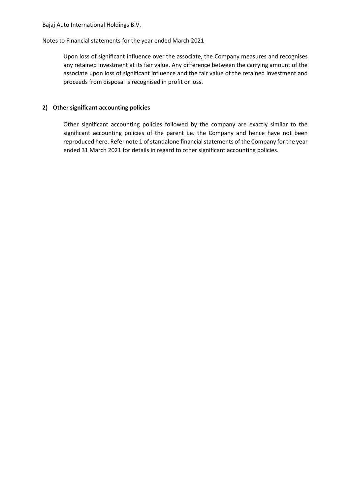## Notes to Financial statements for the year ended March 2021

Upon loss of significant influence over the associate, the Company measures and recognises any retained investment at its fair value. Any difference between the carrying amount of the associate upon loss of significant influence and the fair value of the retained investment and proceeds from disposal is recognised in profit or loss.

## **2) Other significant accounting policies**

Other significant accounting policies followed by the company are exactly similar to the significant accounting policies of the parent i.e. the Company and hence have not been reproduced here. Refer note 1 of standalone financial statements of the Company for the year ended 31 March 2021 for details in regard to other significant accounting policies.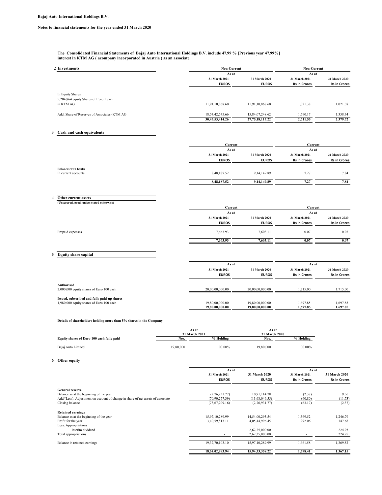#### **The Consolidated Financial Statements of Bajaj Auto International Holdings B.V. include 47.99 % [Previous year 47.99%] interest in KTM AG ( acompany incorporated in Austria ) as an associate.**

| 2 Investments                                | <b>Non-Current</b> | <b>Non-Current</b>  |                     |                     |
|----------------------------------------------|--------------------|---------------------|---------------------|---------------------|
|                                              | As at              |                     | As at               |                     |
|                                              | 31 March 2021      | 31 March 2020       | 31 March 2021       | 31 March 2020       |
|                                              | <b>EUROS</b>       | <b>EUROS</b>        | <b>Rs in Crores</b> | <b>Rs in Crores</b> |
| In Equity Shares                             |                    |                     |                     |                     |
| 5,204,864 equity Shares of Euro 1 each       |                    |                     |                     |                     |
| in KTM AG                                    | 11,91,10,868.60    | 11,91,10,868.60     | 1,021.38            | 1,021.38            |
| Add: Share of Reserves of Associates- KTM AG | 18,54,42,545.66    | 15,84,07,248.62     | 1.590.17            | 1,358.34            |
|                                              | 30,45,53,414.26    | 27, 75, 18, 117, 22 | 2,611.55            | 2,379.72            |

## **3 Cash and cash equivalents**

|                                                   | Current<br>As at |               | Current             |                     |  |
|---------------------------------------------------|------------------|---------------|---------------------|---------------------|--|
|                                                   |                  |               |                     | As at               |  |
|                                                   | 31 March 2021    | 31 March 2020 | 31 March 2021       | 31 March 2020       |  |
|                                                   | <b>EUROS</b>     | <b>EUROS</b>  | <b>Rs in Crores</b> | <b>Rs in Crores</b> |  |
|                                                   |                  |               |                     |                     |  |
| <b>Balances with banks</b><br>In current accounts | 8,48,187.52      | 9, 14, 149.89 | 7.27                | 7.84                |  |
|                                                   | 8,48,187.52      | 9, 14, 149.89 | 7.27                | 7.84                |  |

## **4 Other current assets (Unsecured, good, unless stated otherwise)**

|                  |               | Current       |                     | Current             |
|------------------|---------------|---------------|---------------------|---------------------|
|                  |               | As at         |                     | As at               |
|                  | 31 March 2021 | 31 March 2020 | 31 March 2021       | 31 March 2020       |
|                  | <b>EUROS</b>  | <b>EUROS</b>  | <b>Rs in Crores</b> | <b>Rs in Crores</b> |
| Prepaid expenses | 7,663.93      | 7,603.11      | 0.07                | 0.07                |
|                  | 7,663.93      | 7,603.11      | 0.07                | 0.07                |

## **5 Equity share capital**

|                                                               | As at           |                 | As at               |                     |  |
|---------------------------------------------------------------|-----------------|-----------------|---------------------|---------------------|--|
|                                                               | 31 March 2021   | 31 March 2020   | 31 March 2021       | 31 March 2020       |  |
|                                                               | <b>EUROS</b>    | <b>EUROS</b>    | <b>Rs in Crores</b> | <b>Rs in Crores</b> |  |
| <b>Authorised</b><br>2,000,000 equity shares of Euro 100 each | 20,00,00,000.00 | 20,00,00,000,00 | 1.715.00            | 1.715.00            |  |
| Issued, subscribed and fully paid-up shares                   |                 |                 |                     |                     |  |
| 1,980,000 equity shares of Euro 100 each                      | 19,80,00,000.00 | 19,80,00,000,00 | 1.697.85            | 1,697.85            |  |
|                                                               | 19,80,00,000,00 | 19,80,00,000.00 | 1,697.85            | 1.697.85            |  |

#### **Details of shareholders holding more than 5% shares in the Company**

|                                           | As at<br>31 March 2021 |           | As at<br>31 March 2020 |           |
|-------------------------------------------|------------------------|-----------|------------------------|-----------|
| Equity shares of Euro 100 each fully paid | Nos.                   | % Holding | Nos.                   | % Holding |
| Bajaj Auto Limited                        | 19,80,000              | 100.00%   | 19,80,000              | 100.00%   |

#### **6 Other equity**

|                                                                                 | As at                    |                 | As at                    |                     |
|---------------------------------------------------------------------------------|--------------------------|-----------------|--------------------------|---------------------|
|                                                                                 | 31 March 2021            | 31 March 2020   | 31 March 2021            | 31 March 2020       |
|                                                                                 | <b>EUROS</b>             | <b>EUROS</b>    | <b>Rs in Crores</b>      | <b>Rs in Crores</b> |
| <b>General reserve</b>                                                          |                          |                 |                          |                     |
| Balance as at the beginning of the year                                         | (2,76,931.77)            | 10,91,114.78    | (2.37)                   | 9.36                |
| Add/(Less): Adjustment on account of change in share of net assets of associate | (70, 90, 277, 39)        | (13,68,046.55)  | (60.80)                  | (11.73)             |
| Closing balance                                                                 | (73,67,209.16)           | (2,76,931.77)   | (63.17)                  | (2.37)              |
| <b>Retained earnings</b>                                                        |                          |                 |                          |                     |
| Balance as at the beginning of the year                                         | 15,97,10,289.99          | 14,54,00,293.54 | 1.369.52                 | 1,246.79            |
| Profit for the year                                                             | 3,40,59,813.11           | 4,05,44,996.45  | 292.06                   | 347.68              |
| Less: Appropriations                                                            |                          |                 |                          |                     |
| Interim dividend                                                                | $\overline{\phantom{a}}$ | 2,62,35,000.00  | $\overline{\phantom{a}}$ | 224.95              |
| Total appropriations                                                            |                          | 2,62,35,000.00  |                          | 224.95              |
| Balance in retained earnings                                                    | 19,37,70,103.10          | 15,97,10,289.99 | 1,661.58                 | 1,369.52            |
|                                                                                 | 18,64,02,893.94          | 15,94,33,358.22 | 1,598.41                 | 1.367.15            |